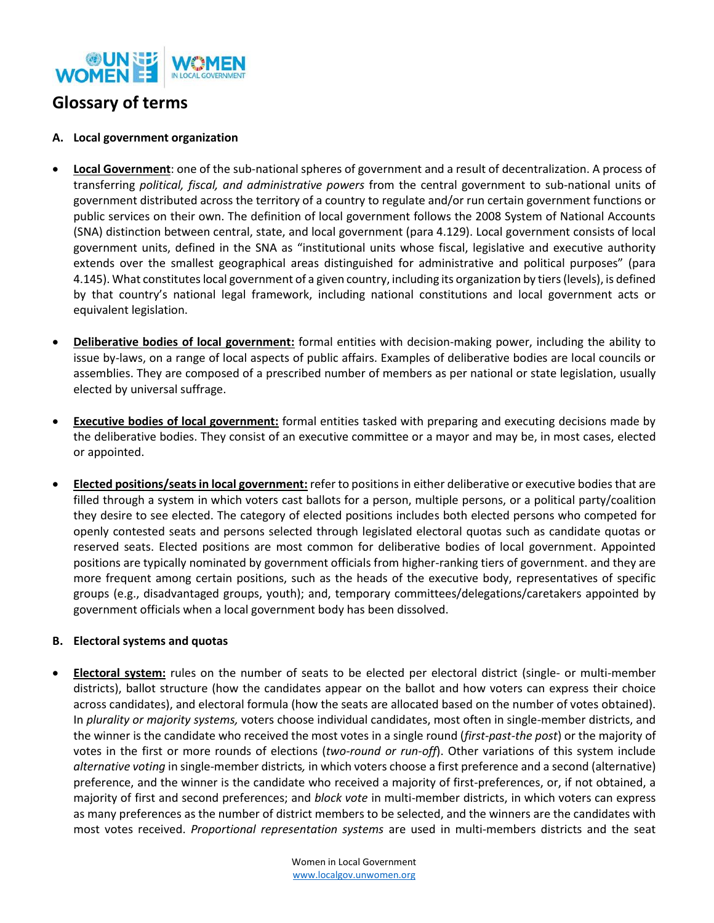

## **Glossary of terms**

## **A. Local government organization**

- **Local Government**: one of the sub-national spheres of government and a result of decentralization. A process of transferring *political, fiscal, and administrative powers* from the central government to sub-national units of government distributed across the territory of a country to regulate and/or run certain government functions or public services on their own. The definition of local government follows the 2008 System of National Accounts (SNA) distinction between central, state, and local government (para 4.129). Local government consists of local government units, defined in the SNA as "institutional units whose fiscal, legislative and executive authority extends over the smallest geographical areas distinguished for administrative and political purposes" (para 4.145). What constitutes local government of a given country, including its organization by tiers (levels), is defined by that country's national legal framework, including national constitutions and local government acts or equivalent legislation.
- **Deliberative bodies of local government:** formal entities with decision-making power, including the ability to issue by-laws, on a range of local aspects of public affairs. Examples of deliberative bodies are local councils or assemblies. They are composed of a prescribed number of members as per national or state legislation, usually elected by universal suffrage.
- **Executive bodies of local government:** formal entities tasked with preparing and executing decisions made by the deliberative bodies. They consist of an executive committee or a mayor and may be, in most cases, elected or appointed.
- **Elected positions/seats in local government:** refer to positions in either deliberative or executive bodies that are filled through a system in which voters cast ballots for a person, multiple persons, or a political party/coalition they desire to see elected. The category of elected positions includes both elected persons who competed for openly contested seats and persons selected through legislated electoral quotas such as candidate quotas or reserved seats. Elected positions are most common for deliberative bodies of local government. Appointed positions are typically nominated by government officials from higher-ranking tiers of government. and they are more frequent among certain positions, such as the heads of the executive body, representatives of specific groups (e.g., disadvantaged groups, youth); and, temporary committees/delegations/caretakers appointed by government officials when a local government body has been dissolved.

## **B. Electoral systems and quotas**

• **Electoral system:** rules on the number of seats to be elected per electoral district (single- or multi-member districts), ballot structure (how the candidates appear on the ballot and how voters can express their choice across candidates), and electoral formula (how the seats are allocated based on the number of votes obtained). In *plurality or majority systems,* voters choose individual candidates, most often in single-member districts, and the winner is the candidate who received the most votes in a single round (*first-past-the post*) or the majority of votes in the first or more rounds of elections (*two-round or run-off*). Other variations of this system include *alternative voting* in single-member districts*,* in which voters choose a first preference and a second (alternative) preference, and the winner is the candidate who received a majority of first-preferences, or, if not obtained, a majority of first and second preferences; and *block vote* in multi-member districts, in which voters can express as many preferences as the number of district members to be selected, and the winners are the candidates with most votes received. *Proportional representation systems* are used in multi-members districts and the seat